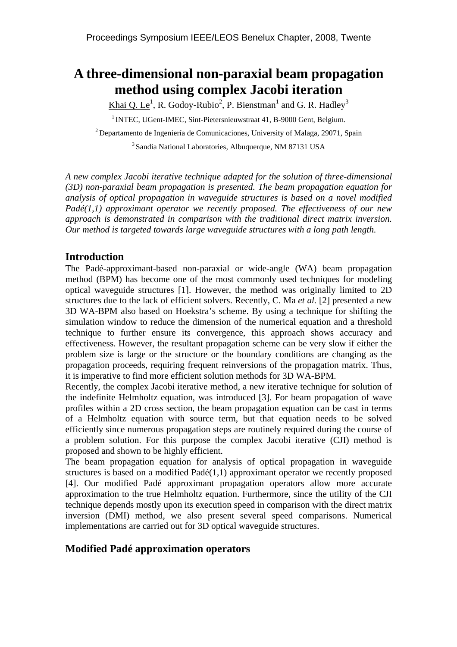# **A three-dimensional non-paraxial beam propagation method using complex Jacobi iteration**

Khai Q. Le<sup>1</sup>, R. Godoy-Rubio<sup>2</sup>, P. Bienstman<sup>1</sup> and G. R. Hadley<sup>3</sup>

<sup>1</sup> INTEC, UGent-IMEC, Sint-Pietersnieuwstraat 41, B-9000 Gent, Belgium.

2 Departamento de Ingeniería de Comunicaciones, University of Malaga, 29071, Spain

3 Sandia National Laboratories, Albuquerque, NM 87131 USA

*A new complex Jacobi iterative technique adapted for the solution of three-dimensional (3D) non-paraxial beam propagation is presented. The beam propagation equation for analysis of optical propagation in waveguide structures is based on a novel modified Padé(1,1) approximant operator we recently proposed. The effectiveness of our new approach is demonstrated in comparison with the traditional direct matrix inversion. Our method is targeted towards large waveguide structures with a long path length.* 

# **Introduction**

The Padé-approximant-based non-paraxial or wide-angle (WA) beam propagation method (BPM) has become one of the most commonly used techniques for modeling optical waveguide structures [1]. However, the method was originally limited to 2D structures due to the lack of efficient solvers. Recently, C. Ma *et al.* [2] presented a new 3D WA-BPM also based on Hoekstra's scheme. By using a technique for shifting the simulation window to reduce the dimension of the numerical equation and a threshold technique to further ensure its convergence, this approach shows accuracy and effectiveness. However, the resultant propagation scheme can be very slow if either the problem size is large or the structure or the boundary conditions are changing as the propagation proceeds, requiring frequent reinversions of the propagation matrix. Thus, it is imperative to find more efficient solution methods for 3D WA-BPM.

Recently, the complex Jacobi iterative method, a new iterative technique for solution of the indefinite Helmholtz equation, was introduced [3]. For beam propagation of wave profiles within a 2D cross section, the beam propagation equation can be cast in terms of a Helmholtz equation with source term, but that equation needs to be solved efficiently since numerous propagation steps are routinely required during the course of a problem solution. For this purpose the complex Jacobi iterative (CJI) method is proposed and shown to be highly efficient.

The beam propagation equation for analysis of optical propagation in waveguide structures is based on a modified Padé(1,1) approximant operator we recently proposed [4]. Our modified Padé approximant propagation operators allow more accurate approximation to the true Helmholtz equation. Furthermore, since the utility of the CJI technique depends mostly upon its execution speed in comparison with the direct matrix inversion (DMI) method, we also present several speed comparisons. Numerical implementations are carried out for 3D optical waveguide structures.

# **Modified Padé approximation operators**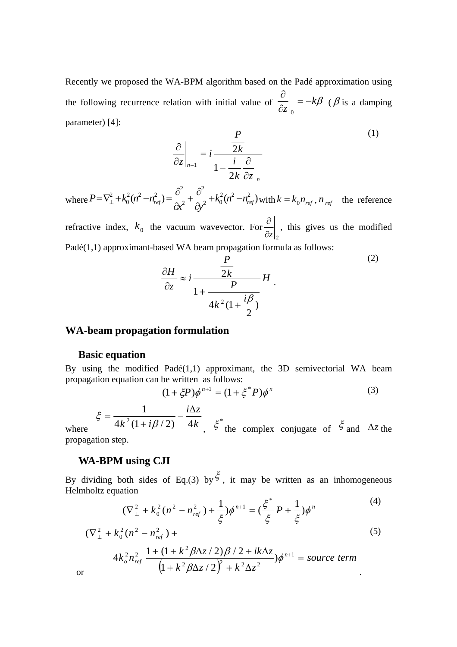Recently we proposed the WA-BPM algorithm based on the Padé approximation using the following recurrence relation with initial value of  $\frac{\partial}{\partial z}\Big|_0 = -k\beta$ ∂ 0 ( $\beta$  is a damping parameter) [4]:

$$
\frac{\partial}{\partial z}\bigg|_{n+1} = i \frac{\frac{P}{2k}}{1 - \frac{i}{2k} \frac{\partial}{\partial z}\bigg|_{n}}
$$
\n(1)

where  $P = \nabla_{\perp}^2 + k_0^2 (n^2 - n_{ref}^2) = \frac{U}{\Delta t^2} + \frac{U}{\Delta t^2} + k_0^2 (n^2 - n_{ref}^2)$ 2 2 2  $2^{2}$   $2^{2}$  $\mathbf{0}$  $\frac{a_1}{a_1} + k_0^2 (n^2 - n_{ref}^2) = \frac{b_1}{2} + \frac{b_2}{2} + k_0^2 (n^2 - n_{ref}^2)$  $P = \nabla_{\perp}^2 + k_0^2 (n^2 - n_{ref}^2) = \frac{\partial}{\partial x^2} + \frac{\partial}{\partial y^2} + k_0^2 (n^2 -$ ∂ +  $=\nabla_{\perp}^2 + k_0^2 (n^2 - n_{ref}^2) = \frac{\partial^2}{\partial x^2} + \frac{\partial^2}{\partial y^2} + k_0^2 (n^2 - n_{ref}^2)$  with  $k = k_0 n_{ref}$ ,  $n_{ref}$  the reference

refractive index,  $k_0$  the vacuum wavevector. For  $\partial z\big|_2$  $\frac{\partial}{\partial s}$ , this gives us the modified Padé(1,1) approximant-based WA beam propagation formula as follows:

$$
\frac{\partial H}{\partial z} \approx i \frac{\frac{P}{2k}}{1 + \frac{P}{4k^2(1 + \frac{i\beta}{2})}} H.
$$
\n(2)

#### **WA-beam propagation formulation**

#### **Basic equation**

By using the modified Padé(1,1) approximant, the 3D semivectorial WA beam propagation equation can be written as follows:

$$
(1 + \xi P)\phi^{n+1} = (1 + \xi^* P)\phi^n
$$
 (3)

where  $4k^2(1+i\beta/2)$  4k  $i\Delta z$  $4k^2(1+i\beta/2)$  4 1  $\zeta = \frac{1}{4k^2(1+i\beta/2)} - \frac{i\Delta z}{4k}$ ,  $\zeta^*$  the complex conjugate of  $\zeta$  and  $\Delta z$  the propagation step.

#### **WA-BPM using CJI**

By dividing both sides of Eq.(3) by  $\xi$ , it may be written as an inhomogeneous Helmholtz equation

$$
(\nabla_{\perp}^{2} + k_0^{2}(n^{2} - n_{ref}^{2}) + \frac{1}{\xi})\phi^{n+1} = (\frac{\xi^{*}}{\xi}P + \frac{1}{\xi})\phi^{n}
$$
\n(4)

$$
(\nabla_{\perp}^{2} + k_{0}^{2} (n^{2} - n_{ref}^{2}) +
$$
  
\n
$$
4k_{0}^{2} n_{ref}^{2} \frac{1 + (1 + k^{2} \beta \Delta z / 2) \beta / 2 + ik \Delta z}{(1 + k^{2} \beta \Delta z / 2)^{2} + k^{2} \Delta z^{2}}) \phi^{n+1} = source \ term
$$
\nor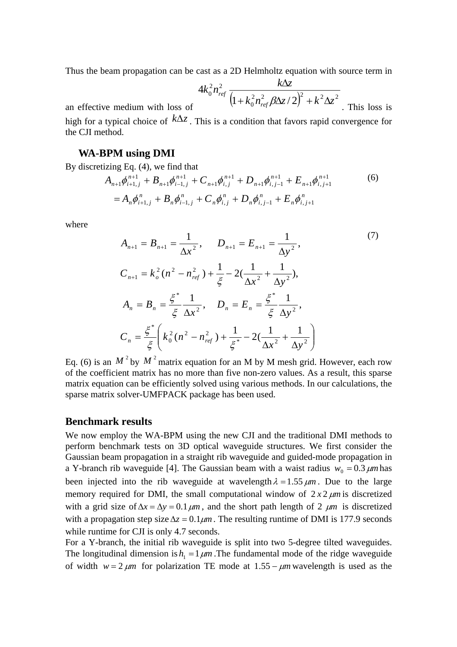Thus the beam propagation can be cast as a 2D Helmholtz equation with source term in

$$
4k_0^2 n_{ref}^2 \frac{k\Delta z}{\left(1 + k_0^2 n_{ref}^2 \beta \Delta z / 2\right)^2 + k^2 \Delta z^2}
$$
. This loss is

an effective medium with loss of

high for a typical choice of  $k\Delta z$ . This is a condition that favors rapid convergence for the CJI method.

#### **WA-BPM using DMI**

By discretizing Eq. (4), we find that

$$
A_{n+1}\phi_{i+1,j}^{n+1} + B_{n+1}\phi_{i-1,j}^{n+1} + C_{n+1}\phi_{i,j}^{n+1} + D_{n+1}\phi_{i,j-1}^{n+1} + E_{n+1}\phi_{i,j+1}^{n+1}
$$
\n
$$
= A_n\phi_{i+1,j}^n + B_n\phi_{i-1,j}^n + C_n\phi_{i,j}^n + D_n\phi_{i,j-1}^n + E_n\phi_{i,j+1}^n
$$
\n(6)

where

$$
A_{n+1} = B_{n+1} = \frac{1}{\Delta x^2}, \qquad D_{n+1} = E_{n+1} = \frac{1}{\Delta y^2},
$$
\n
$$
C_{n+1} = k_o^2 (n^2 - n_{ref}^2) + \frac{1}{\xi} - 2(\frac{1}{\Delta x^2} + \frac{1}{\Delta y^2}),
$$
\n
$$
A_n = B_n = \frac{\xi^*}{\xi} \frac{1}{\Delta x^2}, \qquad D_n = E_n = \frac{\xi^*}{\xi} \frac{1}{\Delta y^2},
$$
\n
$$
C_n = \frac{\xi^*}{\xi} \left( k_0^2 (n^2 - n_{ref}^2) + \frac{1}{\xi^*} - 2(\frac{1}{\Delta x^2} + \frac{1}{\Delta y^2}) \right)
$$
\n(7)

Eq. (6) is an  $M^2$  by  $M^2$  matrix equation for an M by M mesh grid. However, each row of the coefficient matrix has no more than five non-zero values. As a result, this sparse matrix equation can be efficiently solved using various methods. In our calculations, the sparse matrix solver-UMFPACK package has been used.

#### **Benchmark results**

We now employ the WA-BPM using the new CJI and the traditional DMI methods to perform benchmark tests on 3D optical waveguide structures. We first consider the Gaussian beam propagation in a straight rib waveguide and guided-mode propagation in a Y-branch rib waveguide [4]. The Gaussian beam with a waist radius  $w_0 = 0.3 \ \mu m$  has been injected into the rib waveguide at wavelength  $\lambda = 1.55 \ \mu m$ . Due to the large memory required for DMI, the small computational window of  $2x2 \mu m$  is discretized with a grid size of  $\Delta x = \Delta y = 0.1 \mu m$ , and the short path length of 2  $\mu m$  is discretized with a propagation step size  $\Delta z = 0.1 \mu m$ . The resulting runtime of DMI is 177.9 seconds while runtime for CJI is only 4.7 seconds.

For a Y-branch, the initial rib waveguide is split into two 5-degree tilted waveguides. The longitudinal dimension is  $h_1 = 1 \mu m$ . The fundamental mode of the ridge waveguide of width  $w = 2 \mu m$  for polarization TE mode at  $1.55 - \mu m$  wavelength is used as the